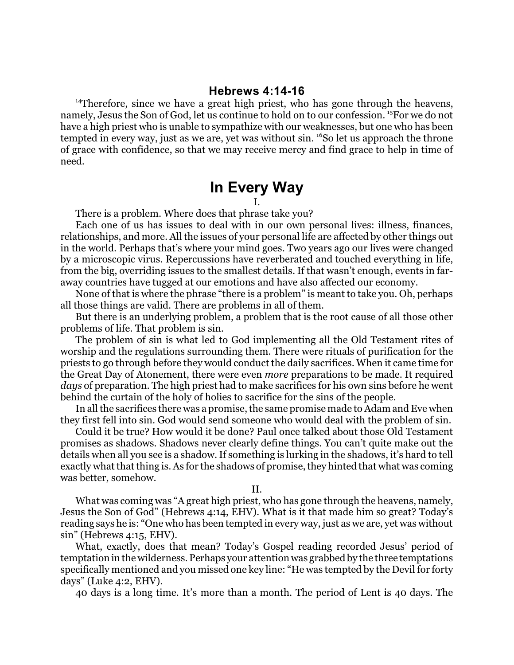## **Hebrews 4:14-16**

<sup>14</sup>Therefore, since we have a great high priest, who has gone through the heavens, namely, Jesus the Son of God, let us continue to hold on to our confession. <sup>15</sup>For we do not have a high priest who is unable to sympathize with our weaknesses, but one who has been tempted in every way, just as we are, yet was without sin. <sup>16</sup>S0 let us approach the throne of grace with confidence, so that we may receive mercy and find grace to help in time of need.

## **In Every Way**

I.

There is a problem. Where does that phrase take you?

Each one of us has issues to deal with in our own personal lives: illness, finances, relationships, and more. All the issues of your personal life are affected by other things out in the world. Perhaps that's where your mind goes. Two years ago our lives were changed by a microscopic virus. Repercussions have reverberated and touched everything in life, from the big, overriding issues to the smallest details. If that wasn't enough, events in faraway countries have tugged at our emotions and have also affected our economy.

None of that is where the phrase "there is a problem" is meant to take you. Oh, perhaps all those things are valid. There are problems in all of them.

But there is an underlying problem, a problem that is the root cause of all those other problems of life. That problem is sin.

The problem of sin is what led to God implementing all the Old Testament rites of worship and the regulations surrounding them. There were rituals of purification for the priests to go through before they would conduct the daily sacrifices. When it came time for the Great Day of Atonement, there were even *more* preparations to be made. It required *days* of preparation. The high priest had to make sacrifices for his own sins before he went behind the curtain of the holy of holies to sacrifice for the sins of the people.

In all the sacrifices there was a promise, the same promise made to Adam and Eve when they first fell into sin. God would send someone who would deal with the problem of sin.

Could it be true? How would it be done? Paul once talked about those Old Testament promises as shadows. Shadows never clearly define things. You can't quite make out the details when all you see is a shadow. If something is lurking in the shadows, it's hard to tell exactly what that thing is. As for the shadows of promise, they hinted that what was coming was better, somehow.

II.

What was coming was "A great high priest, who has gone through the heavens, namely, Jesus the Son of God" (Hebrews 4:14, EHV). What is it that made him so great? Today's reading says he is: "One who has been tempted in every way, just as we are, yet was without sin" (Hebrews 4:15, EHV).

What, exactly, does that mean? Today's Gospel reading recorded Jesus' period of temptation in the wilderness. Perhaps your attention was grabbed by the three temptations specifically mentioned and you missed one key line: "He was tempted by the Devil for forty days" (Luke 4:2, EHV).

40 days is a long time. It's more than a month. The period of Lent is 40 days. The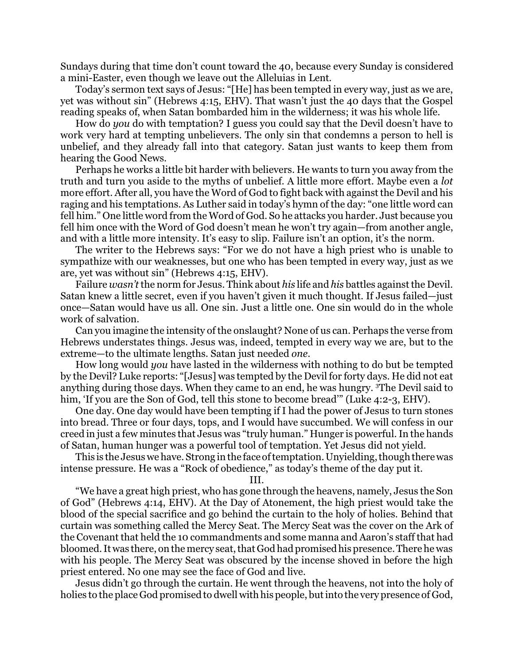Sundays during that time don't count toward the 40, because every Sunday is considered a mini-Easter, even though we leave out the Alleluias in Lent.

Today's sermon text says of Jesus: "[He] has been tempted in every way, just as we are, yet was without sin" (Hebrews 4:15, EHV). That wasn't just the 40 days that the Gospel reading speaks of, when Satan bombarded him in the wilderness; it was his whole life.

How do *you* do with temptation? I guess you could say that the Devil doesn't have to work very hard at tempting unbelievers. The only sin that condemns a person to hell is unbelief, and they already fall into that category. Satan just wants to keep them from hearing the Good News.

Perhaps he works a little bit harder with believers. He wants to turn you away from the truth and turn you aside to the myths of unbelief. A little more effort. Maybe even a *lot* more effort. After all, you have the Word of God to fight back with against the Devil and his raging and his temptations. As Luther said in today's hymn of the day: "one little word can fell him." One little word from the Word of God. So he attacks you harder. Just because you fell him once with the Word of God doesn't mean he won't try again—from another angle, and with a little more intensity. It's easy to slip. Failure isn't an option, it's the norm.

The writer to the Hebrews says: "For we do not have a high priest who is unable to sympathize with our weaknesses, but one who has been tempted in every way, just as we are, yet was without sin" (Hebrews 4:15, EHV).

Failure *wasn't* the norm for Jesus. Think about *his* life and *his* battles againstthe Devil. Satan knew a little secret, even if you haven't given it much thought. If Jesus failed—just once—Satan would have us all. One sin. Just a little one. One sin would do in the whole work of salvation.

Can you imagine the intensity of the onslaught? None of us can. Perhaps the verse from Hebrews understates things. Jesus was, indeed, tempted in every way we are, but to the extreme—to the ultimate lengths. Satan just needed *one*.

How long would *you* have lasted in the wilderness with nothing to do but be tempted by the Devil? Luke reports: "[Jesus] was tempted by the Devil for forty days. He did not eat anything during those days. When they came to an end, he was hungry. <sup>3</sup>The Devil said to him, 'If you are the Son of God, tell this stone to become bread'" (Luke 4:2-3, EHV).

One day. One day would have been tempting if I had the power of Jesus to turn stones into bread. Three or four days, tops, and I would have succumbed. We will confess in our creed in just a few minutes that Jesus was "truly human." Hunger is powerful. In the hands of Satan, human hunger was a powerful tool of temptation. Yet Jesus did not yield.

This is the Jesus we have. Strong in the face oftemptation. Unyielding, though there was intense pressure. He was a "Rock of obedience," as today's theme of the day put it.

III.

"We have a great high priest, who has gone through the heavens, namely, Jesus the Son of God" (Hebrews 4:14, EHV). At the Day of Atonement, the high priest would take the blood of the special sacrifice and go behind the curtain to the holy of holies. Behind that curtain was something called the Mercy Seat. The Mercy Seat was the cover on the Ark of the Covenant that held the 10 commandments and some manna and Aaron's staff that had bloomed. It was there, on the mercy seat, that God had promised his presence. There he was with his people. The Mercy Seat was obscured by the incense shoved in before the high priest entered. No one may see the face of God and live.

Jesus didn't go through the curtain. He went through the heavens, not into the holy of holies to the place God promised to dwell with his people, but into the very presence of God,